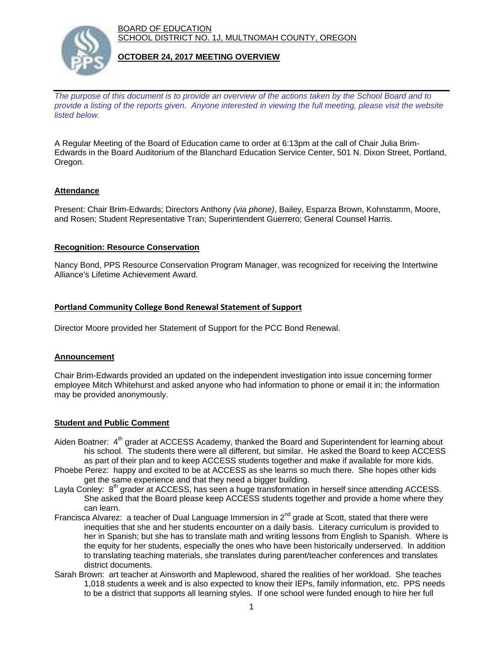BOARD OF EDUCATION SCHOOL DISTRICT NO. 1J, MULTNOMAH COUNTY, OREGON



# **OCTOBER 24, 2017 MEETING OVERVIEW**

*The purpose of this document is to provide an overview of the actions taken by the School Board and to provide a listing of the reports given. Anyone interested in viewing the full meeting, please visit the website listed below.*

A Regular Meeting of the Board of Education came to order at 6:13pm at the call of Chair Julia Brim-Edwards in the Board Auditorium of the Blanchard Education Service Center, 501 N. Dixon Street, Portland, Oregon.

# **Attendance**

Present: Chair Brim-Edwards; Directors Anthony *(via phone)*, Bailey, Esparza Brown, Kohnstamm, Moore, and Rosen; Student Representative Tran; Superintendent Guerrero; General Counsel Harris.

## **Recognition: Resource Conservation**

Nancy Bond, PPS Resource Conservation Program Manager, was recognized for receiving the Intertwine Alliance's Lifetime Achievement Award.

## **Portland Community College Bond Renewal Statement of Support**

Director Moore provided her Statement of Support for the PCC Bond Renewal.

#### **Announcement**

Chair Brim-Edwards provided an updated on the independent investigation into issue concerning former employee Mitch Whitehurst and asked anyone who had information to phone or email it in; the information may be provided anonymously.

# **Student and Public Comment**

- Aiden Boatner: 4<sup>th</sup> grader at ACCESS Academy, thanked the Board and Superintendent for learning about his school. The students there were all different, but similar. He asked the Board to keep ACCESS as part of their plan and to keep ACCESS students together and make if available for more kids.
- Phoebe Perez: happy and excited to be at ACCESS as she learns so much there. She hopes other kids get the same experience and that they need a bigger building.
- Layla Conley: 8<sup>th</sup> grader at ACCESS, has seen a huge transformation in herself since attending ACCESS. She asked that the Board please keep ACCESS students together and provide a home where they can learn.
- Francisca Alvarez: a teacher of Dual Language Immersion in 2<sup>nd</sup> grade at Scott, stated that there were inequities that she and her students encounter on a daily basis. Literacy curriculum is provided to her in Spanish; but she has to translate math and writing lessons from English to Spanish. Where is the equity for her students, especially the ones who have been historically underserved. In addition to translating teaching materials, she translates during parent/teacher conferences and translates district documents.
- Sarah Brown: art teacher at Ainsworth and Maplewood, shared the realities of her workload. She teaches 1,018 students a week and is also expected to know their IEPs, family information, etc. PPS needs to be a district that supports all learning styles. If one school were funded enough to hire her full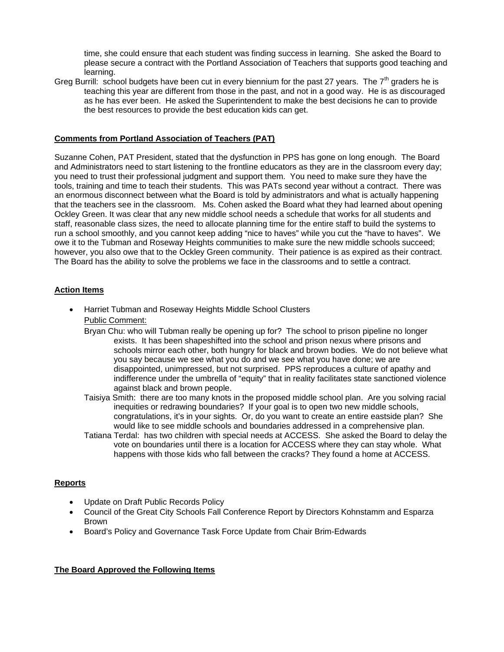time, she could ensure that each student was finding success in learning. She asked the Board to please secure a contract with the Portland Association of Teachers that supports good teaching and learning.

Greg Burrill: school budgets have been cut in every biennium for the past 27 years. The  $7<sup>th</sup>$  graders he is teaching this year are different from those in the past, and not in a good way. He is as discouraged as he has ever been. He asked the Superintendent to make the best decisions he can to provide the best resources to provide the best education kids can get.

## **Comments from Portland Association of Teachers (PAT)**

Suzanne Cohen, PAT President, stated that the dysfunction in PPS has gone on long enough. The Board and Administrators need to start listening to the frontline educators as they are in the classroom every day; you need to trust their professional judgment and support them. You need to make sure they have the tools, training and time to teach their students. This was PATs second year without a contract. There was an enormous disconnect between what the Board is told by administrators and what is actually happening that the teachers see in the classroom. Ms. Cohen asked the Board what they had learned about opening Ockley Green. It was clear that any new middle school needs a schedule that works for all students and staff, reasonable class sizes, the need to allocate planning time for the entire staff to build the systems to run a school smoothly, and you cannot keep adding "nice to haves" while you cut the "have to haves". We owe it to the Tubman and Roseway Heights communities to make sure the new middle schools succeed; however, you also owe that to the Ockley Green community. Their patience is as expired as their contract. The Board has the ability to solve the problems we face in the classrooms and to settle a contract.

# **Action Items**

- Harriet Tubman and Roseway Heights Middle School Clusters Public Comment:
	- Bryan Chu: who will Tubman really be opening up for? The school to prison pipeline no longer exists. It has been shapeshifted into the school and prison nexus where prisons and schools mirror each other, both hungry for black and brown bodies. We do not believe what you say because we see what you do and we see what you have done; we are disappointed, unimpressed, but not surprised. PPS reproduces a culture of apathy and indifference under the umbrella of "equity" that in reality facilitates state sanctioned violence against black and brown people.
	- Taisiya Smith: there are too many knots in the proposed middle school plan. Are you solving racial inequities or redrawing boundaries? If your goal is to open two new middle schools, congratulations, it's in your sights. Or, do you want to create an entire eastside plan? She would like to see middle schools and boundaries addressed in a comprehensive plan.
	- Tatiana Terdal: has two children with special needs at ACCESS. She asked the Board to delay the vote on boundaries until there is a location for ACCESS where they can stay whole. What happens with those kids who fall between the cracks? They found a home at ACCESS.

#### **Reports**

- Update on Draft Public Records Policy
- Council of the Great City Schools Fall Conference Report by Directors Kohnstamm and Esparza Brown
- Board's Policy and Governance Task Force Update from Chair Brim-Edwards

#### **The Board Approved the Following Items**